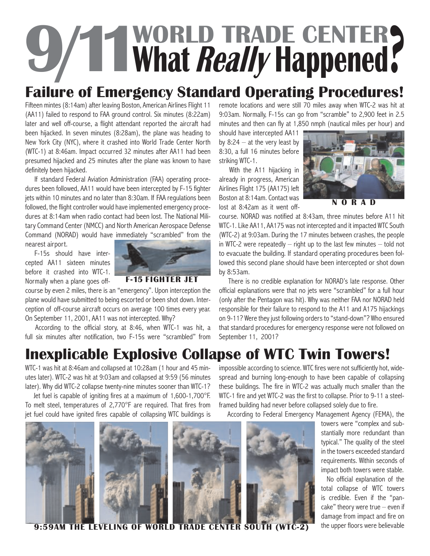# **9/11WORLD TRADE CENTER What Really Happened**?

## **Failure of Emergency Standard Operating Procedures!**

Fifteen mintes (8:14am) after leaving Boston, American Airlines Flight 11 (AA11) failed to respond to FAA ground control. Six minutes (8:22am) later and well off-course, a flight attendant reported the aircraft had been hijacked. In seven minutes (8:28am), the plane was heading to New York City (NYC), where it crashed into World Trade Center North (WTC-1) at 8:46am. Impact occurred 32 minutes after AA11 had been presumed hijacked and 25 minutes after the plane was known to have definitely been hijacked.

If standard Federal Aviation Administration (FAA) operating procedures been followed, AA11 would have been intercepted by F-15 fighter jets within 10 minutes and no later than 8:30am. If FAA regulations been followed, the flight controller would have implemented emergency procedures at 8:14am when radio contact had been lost. The National Military Command Center (NMCC) and North American Aerospace Defense Command (NORAD) would have immediately "scrambled" from the

nearest airport.

F-15s should have intercepted AA11 sixteen minutes before it crashed into WTC-1. Normally when a plane goes off-



course by even 2 miles, there is an "emergency". Upon interception the plane would have submitted to being escorted or been shot down. Interception of off-course aircraft occurs on average 100 times every year. On September 11, 2001, AA11 was not intercepted. Why?

According to the official story, at 8:46, when WTC-1 was hit, a full six minutes after notification, two F-15s were "scrambled" from

remote locations and were still 70 miles away when WTC-2 was hit at 9:03am. Normally, F-15s can go from "scramble" to 2,900 feet in 2.5 minutes and then can fly at 1,850 nmph (nautical miles per hour) and

should have intercepted AA11 by  $8:24 - at$  the very least by 8:30, a full 16 minutes before striking WTC-1.

With the A11 hijacking in already in progress, American Airlines Flight 175 (AA175) left Boston at 8:14am. Contact was lost at 8:42am as it went off-



**NORAD**

course. NORAD was notified at 8:43am, three minutes before A11 hit WTC-1. Like AA11, AA175 was not intercepted and it impacted WTC South (WTC-2) at 9:03am. During the 17 minutes between crashes, the people in WTC-2 were repeatedly  $-$  right up to the last few minutes  $-$  told not to evacuate the building. If standard operating procedures been followed this second plane should have been intercepted or shot down by 8:53am.

There is no credible explanation for NORAD's late response. Other official explanations were that no jets were "scrambled" for a full hour (only after the Pentagon was hit). Why was neither FAA nor NORAD held responsible for their failure to respond to the A11 and A175 hijackings on 9-11? Were they just following orders to "stand-down"? Who ensured that standard procedures for emergency response were not followed on September 11, 2001?

# **Inexplicable Explosive Collapse of WTC Twin Towers!**

WTC-1 was hit at 8:46am and collapsed at 10:28am (1 hour and 45 minutes later). WTC-2 was hit at 9:03am and collapsed at 9:59 (56 minutes later). Why did WTC-2 collapse twenty-nine minutes sooner than WTC-1?

Jet fuel is capable of igniting fires at a maximum of 1,600-1,700°F. To melt steel, temperatures of 2,770°F are required. That fires from jet fuel could have ignited fires capable of collapsing WTC buildings is impossible according to science. WTC fires were not sufficiently hot, widespread and burning long-enough to have been capable of collapsing these buildings. The fire in WTC-2 was actually much smaller than the WTC-1 fire and yet WTC-2 was the first to collapse. Prior to 9-11 a steelframed building had never before collapsed solely due to fire.

According to Federal Emergency Management Agency (FEMA), the



**THE LEVELING OF WORLD TRADE CENTER SOUTH (WTC-2)** the upper floors were believable

towers were "complex and substantially more redundant than typical." The quality of the steel in the towers exceeded standard requirements. Within seconds of impact both towers were stable.

No official explanation of the total collapse of WTC towers is credible. Even if the "pancake" theory were true – even if damage from impact and fire on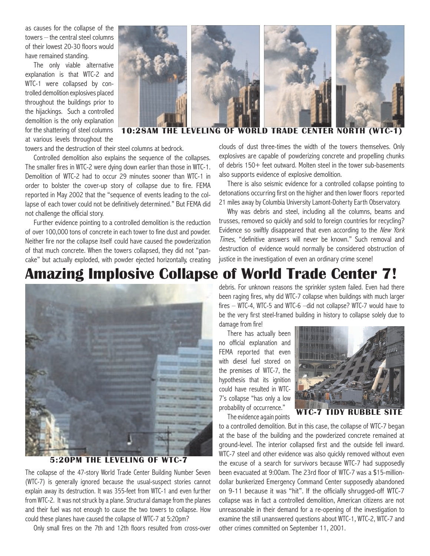as causes for the collapse of the towers – the central steel columns of their lowest 20-30 floors would have remained standing.

The only viable alternative explanation is that WTC-2 and WTC-1 were collapsed by controlled demolition explosives placed throughout the buildings prior to the hijackings. Such a controlled demolition is the only explanation for the shattering of steel columns at various levels throughout the



#### clouds of dust three-times three-times three-times three-times three-times three-times three-times three-times **10:28AM THE LEVELING OF WORLD TRADE CENTER NORTH (WTC-1)**

towers and the destruction of their steel columns at bedrock.

Controlled demolition also explains the sequence of the collapses. The smaller fires in WTC-2 were dying down earlier than those in WTC-1. Demolition of WTC-2 had to occur 29 minutes sooner than WTC-1 in order to bolster the cover-up story of collapse due to fire. FEMA reported in May 2002 that the "sequence of events leading to the collapse of each tower could not be definitively determined." But FEMA did not challenge the official story.

Further evidence pointing to a controlled demolition is the reduction of over 100,000 tons of concrete in each tower to fine dust and powder. Neither fire nor the collapse itself could have caused the powderization of that much concrete. When the towers collapsed, they did not "pancake" but actually exploded, with powder ejected horizontally, creating

clouds of dust three-times the width of the towers themselves. Only explosives are capable of powderizing concrete and propelling chunks of debris 150+ feet outward. Molten steel in the tower sub-basements also supports evidence of explosive demolition.

There is also seismic evidence for a controlled collapse pointing to detonations occurring first on the higher and then lower floors reported 21 miles away by Columbia University Lamont-Doherty Earth Observatory.

Why was debris and steel, including all the columns, beams and trusses, removed so quickly and sold to foreign countries for recycling? Evidence so swiftly disappeared that even according to the New York Times, "definitive answers will never be known." Such removal and destruction of evidence would normally be considered obstruction of justice in the investigation of even an ordinary crime scene!

### **Amazing Implosive Collapse of World Trade Center 7!**



#### **5:20PM THE LEVELING OF WTC-7**

The collapse of the 47-story World Trade Center Building Number Seven (WTC-7) is generally ignored because the usual-suspect stories cannot explain away its destruction. It was 355-feet from WTC-1 and even further from WTC-2. It was not struck by a plane. Structural damage from the planes and their fuel was not enough to cause the two towers to collapse. How could these planes have caused the collapse of WTC-7 at 5:20pm?

Only small fires on the 7th and 12th floors resulted from cross-over

debris. For unknown reasons the sprinkler system failed. Even had there been raging fires, why did WTC-7 collapse when buildings with much larger fires – WTC-4, WTC-5 and WTC-6 –did not collapse? WTC-7 would have to be the very first steel-framed building in history to collapse solely due to damage from fire!

There has actually been no official explanation and FEMA reported that even with diesel fuel stored on the premises of WTC-7, the hypothesis that its ignition could have resulted in WTC-7's collapse "has only a low probability of occurrence."



**WTC-7 TIDY RUBBLE SITE**

The evidence again points to a controlled demolition. But in this case, the collapse of WTC-7 began at the base of the building and the powderized concrete remained at ground-level. The interior collapsed first and the outside fell inward. WTC-7 steel and other evidence was also quickly removed without even the excuse of a search for survivors because WTC-7 had supposedly been evacuated at 9:00am. The 23rd floor of WTC-7 was a \$15-milliondollar bunkerized Emergency Command Center supposedly abandoned on 9-11 because it was "hit". If the officially shrugged-off WTC-7 collapse was in fact a controlled demolition, American citizens are not unreasonable in their demand for a re-opening of the investigation to examine the still unanswered questions about WTC-1, WTC-2, WTC-7 and other crimes committed on September 11, 2001.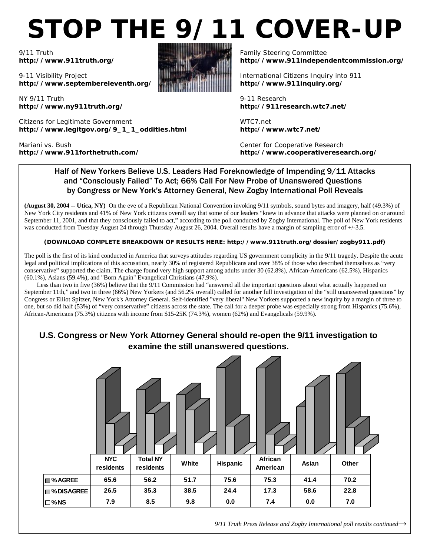# **STOP THE 9/11 COVER-UP**

9/11 Truth **http://www.911truth.org/** 

9-11 Visibility Project **http://www.septembereleventh.org/** 

NY 9/11 Truth **http://www.ny911truth.org/** 

Citizens for Legitimate Government **http://www.legitgov.org/9\_1\_1\_oddities.html** 

Mariani vs. Bush **http://www.911forthetruth.com/**



Family Steering Committee **http://www.911independentcommission.org/**

International Citizens Inquiry into 911 **http://www.911inquiry.org/** 

9-11 Research **http://911research.wtc7.net/** 

WTC7.net **http://www.wtc7.net/** 

Center for Cooperative Research **http://www.cooperativeresearch.org/**

#### Half of New Yorkers Believe U.S. Leaders Had Foreknowledge of Impending 9/11 Attacks and "Consciously Failed" To Act; 66% Call For New Probe of Unanswered Questions by Congress or New York's Attorney General, New Zogby International Poll Reveals

**(August 30, 2004 -- Utica, NY)** On the eve of a Republican National Convention invoking 9/11 symbols, sound bytes and imagery, half (49.3%) of New York City residents and 41% of New York citizens overall say that some of our leaders "knew in advance that attacks were planned on or around September 11, 2001, and that they consciously failed to act," according to the poll conducted by Zogby International. The poll of New York residents was conducted from Tuesday August 24 through Thursday August 26, 2004. Overall results have a margin of sampling error of  $+/-3.5$ .

#### **(DOWNLOAD COMPLETE BREAKDOWN OF RESULTS HERE: http://www.911truth.org/dossier/zogby911.pdf)**

The poll is the first of its kind conducted in America that surveys attitudes regarding US government complicity in the 9/11 tragedy. Despite the acute legal and political implications of this accusation, nearly 30% of registered Republicans and over 38% of those who described themselves as "very conservative" supported the claim. The charge found very high support among adults under 30 (62.8%), African-Americans (62.5%), Hispanics (60.1%), Asians (59.4%), and "Born Again" Evangelical Christians (47.9%).

Less than two in five (36%) believe that the 9/11 Commission had "answered all the important questions about what actually happened on September 11th," and two in three (66%) New Yorkers (and 56.2% overall) called for another full investigation of the "still unanswered questions" by Congress or Elliot Spitzer, New York's Attorney General. Self-identified "very liberal" New Yorkers supported a new inquiry by a margin of three to one, but so did half (53%) of "very conservative" citizens across the state. The call for a deeper probe was especially strong from Hispanics (75.6%), African-Americans (75.3%) citizens with income from \$15-25K (74.3%), women (62%) and Evangelicals (59.9%).

#### **U.S. Congress or New York Attorney General should re-open the 9/11 investigation to examine the still unanswered questions.**

|                | <b>NYC</b><br>residents | <b>Total NY</b><br>residents | White | Hispanic | African<br>American | Asian | Other |  |
|----------------|-------------------------|------------------------------|-------|----------|---------------------|-------|-------|--|
| <b>■%AGREE</b> | 65.6                    | 56.2                         | 51.7  | 75.6     | 75.3                | 41.4  | 70.2  |  |
| □%DISAGREE     | 26.5                    | 35.3                         | 38.5  | 24.4     | 17.3                | 58.6  | 22.8  |  |
| $\square$ %NS  | 7.9                     | 8.5                          | 9.8   | 0.0      | 7.4                 | 0.0   | 7.0   |  |

*9/11 Truth Press Release and Zogby International poll results continued→*